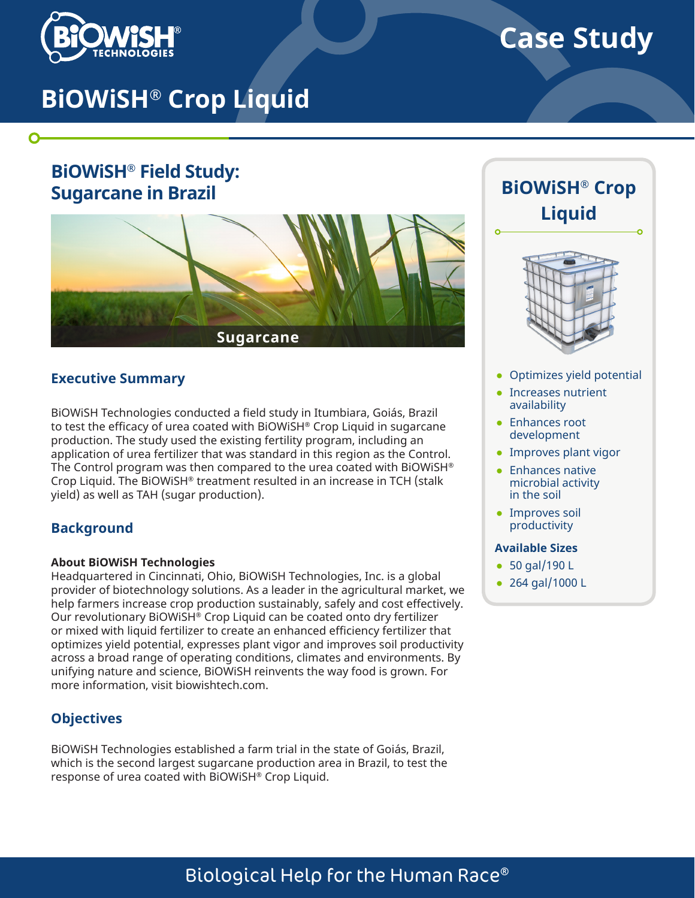

O

# **Case Study**

# **BiOWiSH® Crop Liquid**

## **BiOWiSH® Field Study: Sugarcane in Brazil**



#### **Executive Summary**

BiOWiSH Technologies conducted a field study in Itumbiara, Goiás, Brazil to test the efficacy of urea coated with BiOWiSH® Crop Liquid in sugarcane production. The study used the existing fertility program, including an application of urea fertilizer that was standard in this region as the Control. The Control program was then compared to the urea coated with BiOWiSH® Crop Liquid. The BiOWiSH® treatment resulted in an increase in TCH (stalk yield) as well as TAH (sugar production).

#### **Background**

#### **About BiOWiSH Technologies**

Headquartered in Cincinnati, Ohio, BiOWiSH Technologies, Inc. is a global provider of biotechnology solutions. As a leader in the agricultural market, we help farmers increase crop production sustainably, safely and cost effectively. Our revolutionary BiOWiSH® Crop Liquid can be coated onto dry fertilizer or mixed with liquid fertilizer to create an enhanced efficiency fertilizer that optimizes yield potential, expresses plant vigor and improves soil productivity across a broad range of operating conditions, climates and environments. By unifying nature and science, BiOWiSH reinvents the way food is grown. For more information, visit biowishtech.com.

#### **Objectives**

BiOWiSH Technologies established a farm trial in the state of Goiás, Brazil, which is the second largest sugarcane production area in Brazil, to test the response of urea coated with BiOWiSH® Crop Liquid.

# **BiOWiSH® Crop Liquid**



- Optimizes yield potential
- Increases nutrient availability
- Enhances root development
- Improves plant vigor
- Enhances native microbial activity in the soil
- Improves soil productivity

#### **Available Sizes**

- 50 gal/190 L
- 264 gal/1000 L

# Biological Help for the Human Race®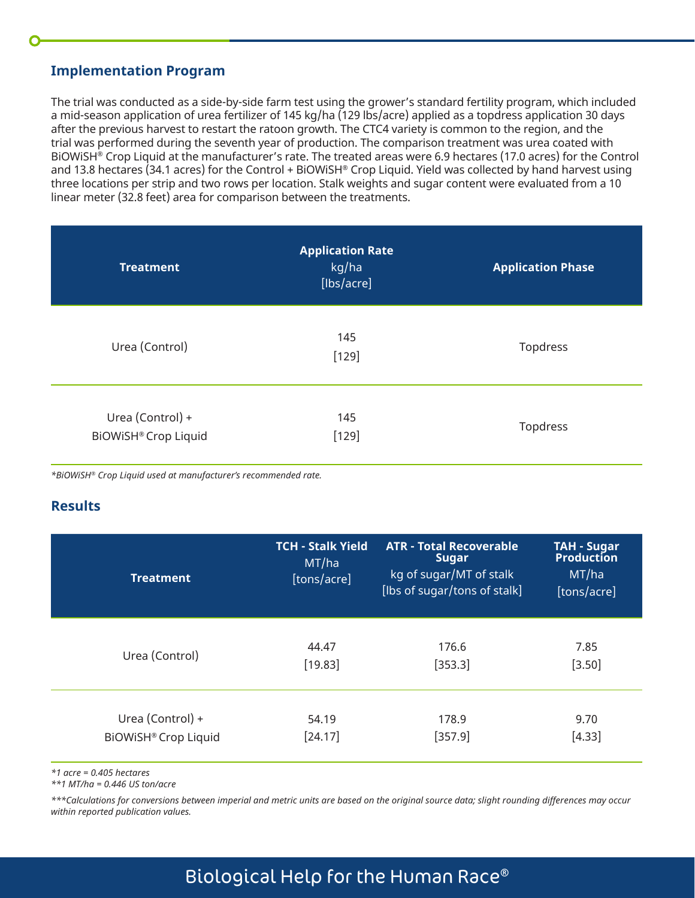#### **Implementation Program**

The trial was conducted as a side-by-side farm test using the grower's standard fertility program, which included a mid-season application of urea fertilizer of 145 kg/ha (129 lbs/acre) applied as a topdress application 30 days after the previous harvest to restart the ratoon growth. The CTC4 variety is common to the region, and the trial was performed during the seventh year of production. The comparison treatment was urea coated with BiOWiSH® Crop Liquid at the manufacturer's rate. The treated areas were 6.9 hectares (17.0 acres) for the Control and 13.8 hectares (34.1 acres) for the Control + BiOWiSH® Crop Liquid. Yield was collected by hand harvest using three locations per strip and two rows per location. Stalk weights and sugar content were evaluated from a 10 linear meter (32.8 feet) area for comparison between the treatments.

| <b>Treatment</b>                                | <b>Application Rate</b><br>kg/ha<br>[lbs/acre] | <b>Application Phase</b> |
|-------------------------------------------------|------------------------------------------------|--------------------------|
| Urea (Control)                                  | 145<br>$[129]$                                 | Topdress                 |
| Urea (Control) +<br><b>BiOWiSH® Crop Liquid</b> | 145<br>$[129]$                                 | Topdress                 |

*\*BiOWiSH® Crop Liquid used at manufacturer's recommended rate.*

#### **Results**

| <b>Treatment</b>     | <b>TCH - Stalk Yield</b><br>MT/ha<br>[tons/acre] | <b>ATR - Total Recoverable</b><br><b>Sugar</b><br>kg of sugar/MT of stalk<br>[lbs of sugar/tons of stalk] | <b>TAH - Sugar</b><br><b>Production</b><br>MT/ha<br>[tons/acre] |
|----------------------|--------------------------------------------------|-----------------------------------------------------------------------------------------------------------|-----------------------------------------------------------------|
| Urea (Control)       | 44.47                                            | 176.6                                                                                                     | 7.85                                                            |
|                      | [19.83]                                          | [353.3]                                                                                                   | $[3.50]$                                                        |
| Urea (Control) +     | 54.19                                            | 178.9                                                                                                     | 9.70                                                            |
| BiOWiSH® Crop Liquid | [24.17]                                          | $[357.9]$                                                                                                 | $[4.33]$                                                        |

*\*1 acre = 0.405 hectares* 

*\*\*1 MT/ha = 0.446 US ton/acre*

*\*\*\*Calculations for conversions between imperial and metric units are based on the original source data; slight rounding differences may occur within reported publication values.*

## Biological Help for the Human Race®